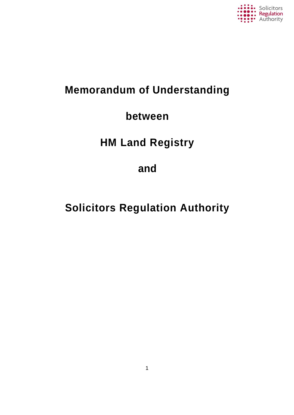

### **Memorandum of Understanding**

### **between**

## **HM Land Registry**

### **and**

# **Solicitors Regulation Authority**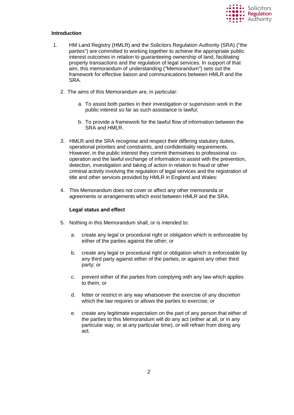

#### **Introduction**

- 1. HM Land Registry (HMLR) and the Solicitors Regulation Authority (SRA) ("the parties") are committed to working together to achieve the appropriate public interest outcomes in relation to guaranteeing ownership of land, facilitating property transactions and the regulation of legal services. In support of that aim, this memorandum of understanding ("Memorandum") sets out the framework for effective liaison and communications between HMLR and the SRA.
	- 2. The aims of this Memorandum are, in particular:
		- a. To assist both parties in their investigation or supervision work in the public interest so far as such assistance is lawful;
		- b. To provide a framework for the lawful flow of information between the SRA and HMLR.
	- 3. HMLR and the SRA recognise and respect their differing statutory duties, operational priorities and constraints, and confidentiality requirements. However, in the public interest they commit themselves to professional cooperation and the lawful exchange of information to assist with the prevention, detection, investigation and taking of action in relation to fraud or other criminal activity involving the regulation of legal services and the registration of title and other services provided by HMLR in England and Wales:
	- 4. This Memorandum does not cover or affect any other memoranda or agreements or arrangements which exist between HMLR and the SRA.

#### **Legal status and effect**

- 5. Nothing in this Memorandum shall, or is intended to:
	- a. create any legal or procedural right or obligation which is enforceable by either of the parties against the other; or
	- b. create any legal or procedural right or obligation which is enforceable by any third party against either of the parties, or against any other third party; or
	- c. prevent either of the parties from complying with any law which applies to them; or
	- d. fetter or restrict in any way whatsoever the exercise of any discretion which the law requires or allows the parties to exercise; or
	- e. create any legitimate expectation on the part of any person that either of the parties to this Memorandum will do any act (either at all, or in any particular way, or at any particular time), or will refrain from doing any act.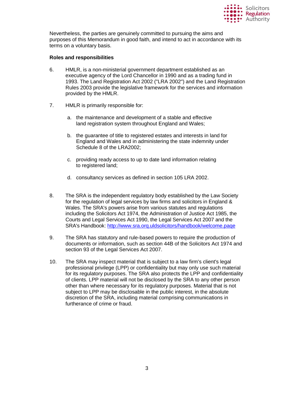

Nevertheless, the parties are genuinely committed to pursuing the aims and purposes of this Memorandum in good faith, and intend to act in accordance with its terms on a voluntary basis.

#### **Roles and responsibilities**

- 6. HMLR, is a non-ministerial government department established as an executive agency of the Lord Chancellor in 1990 and as a trading fund in 1993. The Land Registration Act 2002 ("LRA 2002") and the Land Registration Rules 2003 provide the legislative framework for the services and information provided by the HMLR.
- 7. HMLR is primarily responsible for:
	- a. the maintenance and development of a stable and effective land registration system throughout England and Wales;
	- b. the guarantee of title to registered estates and interests in land for England and Wales and in administering the state indemnity under Schedule 8 of the LRA2002;
	- c. providing ready access to up to date land information relating to registered land;
	- d. consultancy services as defined in section 105 LRA 2002.
- 8. The SRA is the independent regulatory body established by the Law Society for the regulation of legal services by law firms and solicitors in England & Wales. The SRA's powers arise from various statutes and regulations including the Solicitors Act 1974, the Administration of Justice Act 1985, the Courts and Legal Services Act 1990, the Legal Services Act 2007 and the SRA's Handbook:<http://www.sra.orq.uldsolicitors/handbook/welcome.paqe>
- 9. The SRA has statutory and rule-based powers to require the production of documents or information, such as section 44B of the Solicitors Act 1974 and section 93 of the Legal Services Act 2007.
- 10. The SRA may inspect material that is subject to a law firm's client's legal professional privilege (LPP) or confidentiality but may only use such material for its regulatory purposes. The SRA also protects the LPP and confidentiality of clients. LPP material will not be disclosed by the SRA to any other person other than where necessary for its regulatory purposes. Material that is not subject to LPP may be disclosable in the public interest, in the absolute discretion of the SRA, including material comprising communications in furtherance of crime or fraud.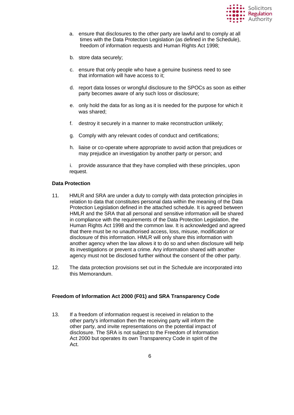

- a. ensure that disclosures to the other party are lawful and to comply at all times with the Data Protection Legislation (as defined in the Schedule), freedom of information requests and Human Rights Act 1998;
- b. store data securely;
- c. ensure that only people who have a genuine business need to see that information will have access to it;
- d. report data losses or wrongful disclosure to the SPOCs as soon as either party becomes aware of any such loss or disclosure;
- e. only hold the data for as long as it is needed for the purpose for which it was shared;
- f. destroy it securely in a manner to make reconstruction unlikely;
- g. Comply with any relevant codes of conduct and certifications;
- h. liaise or co-operate where appropriate to avoid action that prejudices or may prejudice an investigation by another party or person; and

i. provide assurance that they have complied with these principles, upon request.

#### **Data Protection**

- 11. HMLR and SRA are under a duty to comply with data protection principles in relation to data that constitutes personal data within the meaning of the Data Protection Legislation defined in the attached schedule. It is agreed between HMLR and the SRA that all personal and sensitive information will be shared in compliance with the requirements of the Data Protection Legislation, the Human Rights Act 1998 and the common law. It is acknowledged and agreed that there must be no unauthorised access, loss, misuse, modification or disclosure of this information. HMLR will only share this information with another agency when the law allows it to do so and when disclosure will help its investigations or prevent a crime. Any information shared with another agency must not be disclosed further without the consent of the other party.
- 12. The data protection provisions set out in the Schedule are incorporated into this Memorandum.

#### **Freedom of Information Act 2000 (F01) and SRA Transparency Code**

13. If a freedom of information request is received in relation to the other party's information then the receiving party will inform the other party, and invite representations on the potential impact of disclosure. The SRA is not subject to the Freedom of Information Act 2000 but operates its own Transparency Code in spirit of the Act.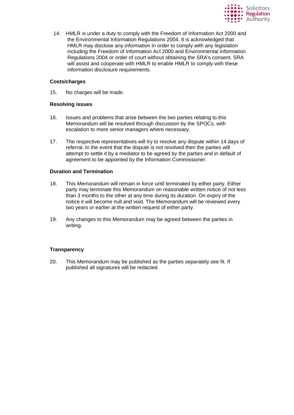

14. HMLR is under a duty to comply with the Freedom of Information Act 2000 and the Environmental Information Regulations 2004. It is acknowledged that HMLR may disclose any information in order to comply with any legislation including the Freedom of Information Act 2000 and Environmental Information Regulations 2004 or order of court without obtaining the SRA's consent. SRA will assist and cooperate with HMLR to enable HMLR to comply with these information disclosure requirements.

#### **Costs/charges**

15. No charges will be made.

#### **Resolving issues**

- 16. Issues and problems that arise between the two parties relating to this Memorandum will be resolved through discussion by the SPOCs, with escalation to more senior managers where necessary.
- 17. The respective representatives will try to resolve any dispute within 14 days of referral. In the event that the dispute is not resolved then the parties will attempt to settle it by a mediator to be agreed by the parties and in default of agreement to be appointed by the Information Commissioner.

#### **Duration and Termination**

- 18. This Memorandum will remain in force until terminated by either party. Either party may terminate this Memorandum on reasonable written notice of not less than 3 months to the other at any time during its duration. On expiry of the notice it will become null and void. The Memorandum will be reviewed every two years or earlier at the written request of either party.
- 19. Any changes to this Memorandum may be agreed between the parties in writing.

#### **Transparency**

20. This Memorandum may be published as the parties separately see fit. If published all signatures will be redacted.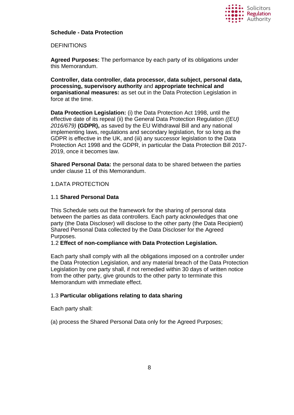

#### **Schedule - Data Protection**

#### **DEFINITIONS**

**Agreed Purposes:** The performance by each party of its obligations under this Memorandum.

**Controller, data controller, data processor, data subject, personal data, processing, supervisory authority** and **appropriate technical and organisational measures:** as set out in the Data Protection Legislation in force at the time.

**Data Protection Legislation:** (i) the Data Protection Act 1998, until the effective date of its repeal (ii) the General Data Protection Regulation *((EU) 2016/679)* **(GDPR),** as saved by the EU Withdrawal Bill and any national implementing laws, regulations and secondary legislation, for so long as the GDPR is effective in the UK, and (iii) any successor legislation to the Data Protection Act 1998 and the GDPR, in particular the Data Protection Bill 2017- 2019, once it becomes law.

**Shared Personal Data:** the personal data to be shared between the parties under clause 11 of this Memorandum.

#### 1.DATA PROTECTION

#### 1.1 **Shared Personal Data**

This Schedule sets out the framework for the sharing of personal data between the parties as data controllers. Each party acknowledges that one party (the Data Discloser) will disclose to the other party (the Data Recipient) Shared Personal Data collected by the Data Discloser for the Agreed Purposes.

1.2 **Effect of non-compliance with Data Protection Legislation.**

Each party shall comply with all the obligations imposed on a controller under the Data Protection Legislation, and any material breach of the Data Protection Legislation by one party shall, if not remedied within 30 days of written notice from the other party, give grounds to the other party to terminate this Memorandum with immediate effect.

#### 1.3 **Particular obligations relating to data sharing**

Each party shall:

(a) process the Shared Personal Data only for the Agreed Purposes;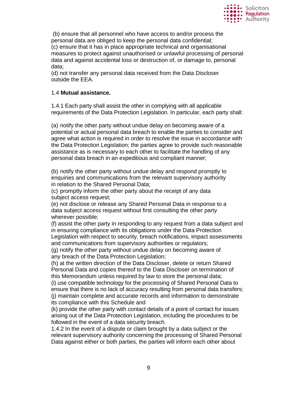

(b) ensure that all personnel who have access to and/or process the personal data are obliged to keep the personal data confidential; (c) ensure that it has in place appropriate technical and organisational measures to protect against unauthorised or unlawful processing of personal data and against accidental loss or destruction of, or damage to, personal data;

(d) not transfer any personal data received from the Data Discloser outside the EEA.

#### 1.4 **Mutual assistance.**

1.4.1 Each party shall assist the other in complying with all applicable requirements of the Data Protection Legislation. In particular, each party shall:

(a) notify the other party without undue delay on becoming aware of a potential or actual personal data breach to enable the parties to consider and agree what action is required in order to resolve the issue in accordance with the Data Protection Legislation; the parties agree to provide such reasonable assistance as is necessary to each other to facilitate the handling of any personal data breach in an expeditious and compliant manner;

(b) notify the other party without undue delay and respond promptly to enquiries and communications from the relevant supervisory authority in relation to the Shared Personal Data;

(c) promptly inform the other party about the receipt of any data subject access request;

(e) not disclose or release any Shared Personal Data in response to a data subject access request without first consulting the other party wherever possible;

(f) assist the other party in responding to any request from a data subject and in ensuring compliance with its obligations under the Data Protection Legislation with respect to security, breach notifications, impact assessments and communications from supervisory authorities or regulators;

(g) notify the other party without undue delay on becoming aware of any breach of the Data Protection Legislation;

(h) at the written direction of the Data Discloser, delete or return Shared Personal Data and copies thereof to the Data Discloser on termination of this Memorandum unless required by law to store the personal data; (i) use compatible technology for the processing of Shared Personal Data to ensure that there is no lack of accuracy resulting from personal data transfers; (j) maintain complete and accurate records and information to demonstrate its compliance with this Schedule and

(k) provide the other party with contact details of a point of contact for issues arising out of the Data Protection Legislation, including the procedures to be followed in the event of a data security breach.

1.4.2 In the event of a dispute or claim brought by a data subject or the relevant supervisory authority concerning the processing of Shared Personal Data against either or both parties, the parties will inform each other about